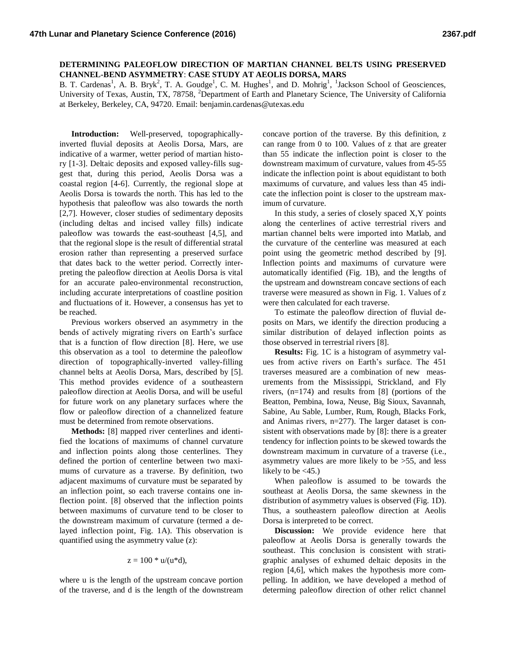## **DETERMINING PALEOFLOW DIRECTION OF MARTIAN CHANNEL BELTS USING PRESERVED CHANNEL-BEND ASYMMETRY**: **CASE STUDY AT AEOLIS DORSA, MARS**

B. T. Cardenas<sup>1</sup>, A. B. Bryk<sup>2</sup>, T. A. Goudge<sup>1</sup>, C. M. Hughes<sup>1</sup>, and D. Mohrig<sup>1</sup>, <sup>1</sup>Jackson School of Geosciences, University of Texas, Austin, TX, 78758, <sup>2</sup>Department of Earth and Planetary Science, The University of California at Berkeley, Berkeley, CA, 94720. Email: benjamin.cardenas@utexas.edu

**Introduction:** Well-preserved, topographicallyinverted fluvial deposits at Aeolis Dorsa, Mars, are indicative of a warmer, wetter period of martian history [1-3]. Deltaic deposits and exposed valley-fills suggest that, during this period, Aeolis Dorsa was a coastal region [4-6]. Currently, the regional slope at Aeolis Dorsa is towards the north. This has led to the hypothesis that paleoflow was also towards the north [2,7]. However, closer studies of sedimentary deposits (including deltas and incised valley fills) indicate paleoflow was towards the east-southeast [4,5], and that the regional slope is the result of differential stratal erosion rather than representing a preserved surface that dates back to the wetter period. Correctly interpreting the paleoflow direction at Aeolis Dorsa is vital for an accurate paleo-environmental reconstruction, including accurate interpretations of coastline position and fluctuations of it. However, a consensus has yet to be reached.

Previous workers observed an asymmetry in the bends of actively migrating rivers on Earth's surface that is a function of flow direction [8]. Here, we use this observation as a tool to determine the paleoflow direction of topographically-inverted valley-filling channel belts at Aeolis Dorsa, Mars, described by [5]. This method provides evidence of a southeastern paleoflow direction at Aeolis Dorsa, and will be useful for future work on any planetary surfaces where the flow or paleoflow direction of a channelized feature must be determined from remote observations.

**Methods:** [8] mapped river centerlines and identified the locations of maximums of channel curvature and inflection points along those centerlines. They defined the portion of centerline between two maximums of curvature as a traverse. By definition, two adjacent maximums of curvature must be separated by an inflection point, so each traverse contains one inflection point. [8] observed that the inflection points between maximums of curvature tend to be closer to the downstream maximum of curvature (termed a delayed inflection point, Fig. 1A). This observation is quantified using the asymmetry value (z):

$$
z=100 * u/(u * d),
$$

where u is the length of the upstream concave portion of the traverse, and d is the length of the downstream concave portion of the traverse. By this definition, z can range from 0 to 100. Values of z that are greater than 55 indicate the inflection point is closer to the downstream maximum of curvature, values from 45-55 indicate the inflection point is about equidistant to both maximums of curvature, and values less than 45 indicate the inflection point is closer to the upstream maximum of curvature.

In this study, a series of closely spaced X,Y points along the centerlines of active terrestrial rivers and martian channel belts were imported into Matlab, and the curvature of the centerline was measured at each point using the geometric method described by [9]. Inflection points and maximums of curvature were automatically identified (Fig. 1B), and the lengths of the upstream and downstream concave sections of each traverse were measured as shown in Fig. 1. Values of z were then calculated for each traverse.

To estimate the paleoflow direction of fluvial deposits on Mars, we identify the direction producing a similar distribution of delayed inflection points as those observed in terrestrial rivers [8].

**Results:** Fig. 1C is a histogram of asymmetry values from active rivers on Earth's surface. The 451 traverses measured are a combination of new measurements from the Mississippi, Strickland, and Fly rivers, (n=174) and results from [8] (portions of the Beatton, Pembina, Iowa, Neuse, Big Sioux, Savannah, Sabine, Au Sable, Lumber, Rum, Rough, Blacks Fork, and Animas rivers, n=277). The larger dataset is consistent with observations made by [8]: there is a greater tendency for inflection points to be skewed towards the downstream maximum in curvature of a traverse (i.e., asymmetry values are more likely to be >55, and less likely to be  $\langle 45. \rangle$ 

When paleoflow is assumed to be towards the southeast at Aeolis Dorsa, the same skewness in the distribution of asymmetry values is observed (Fig. 1D). Thus, a southeastern paleoflow direction at Aeolis Dorsa is interpreted to be correct.

**Discussion:** We provide evidence here that paleoflow at Aeolis Dorsa is generally towards the southeast. This conclusion is consistent with stratigraphic analyses of exhumed deltaic deposits in the region [4,6], which makes the hypothesis more compelling. In addition, we have developed a method of determing paleoflow direction of other relict channel